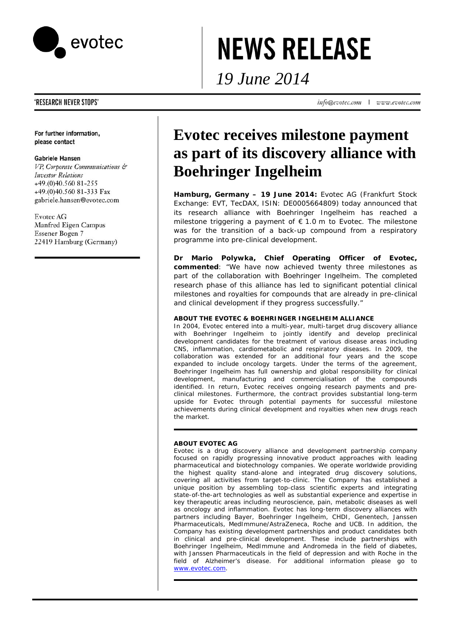

# **NEWS RELEASE**

*19 June 2014* 

info@evotec.com | www.evotec.com

## 'RESEARCH NEVER STOPS'

For further information, please contact

### **Gabriele Hansen**

VP, Corporate Communications & **Investor Relations** +49.(0)40.560 81-255 +49.(0)40.560 81-333 Fax gabriele.hansen@evotec.com

# **Evotec AG**

Manfred Eigen Campus Essener Bogen 7 22419 Hamburg (Germany)

# **Evotec receives milestone payment as part of its discovery alliance with Boehringer Ingelheim**

**Hamburg, Germany – 19 June 2014:** Evotec AG (Frankfurt Stock Exchange: EVT, TecDAX, ISIN: DE0005664809) today announced that its research alliance with Boehringer Ingelheim has reached a milestone triggering a payment of € 1.0 m to Evotec. The milestone was for the transition of a back-up compound from a respiratory programme into pre-clinical development.

**Dr Mario Polywka, Chief Operating Officer of Evotec, commented**: "We have now achieved twenty three milestones as part of the collaboration with Boehringer Ingelheim. The completed research phase of this alliance has led to significant potential clinical milestones and royalties for compounds that are already in pre-clinical and clinical development if they progress successfully."

#### **ABOUT THE EVOTEC & BOEHRINGER INGELHEIM ALLIANCE**

In 2004, Evotec entered into a multi-year, multi-target drug discovery alliance with Boehringer Ingelheim to jointly identify and develop preclinical development candidates for the treatment of various disease areas including CNS, inflammation, cardiometabolic and respiratory diseases. In 2009, the collaboration was extended for an additional four years and the scope expanded to include oncology targets. Under the terms of the agreement, Boehringer Ingelheim has full ownership and global responsibility for clinical development, manufacturing and commercialisation of the compounds identified. In return, Evotec receives ongoing research payments and preclinical milestones. Furthermore, the contract provides substantial long-term upside for Evotec through potential payments for successful milestone achievements during clinical development and royalties when new drugs reach the market.

### **ABOUT EVOTEC AG**

Evotec is a drug discovery alliance and development partnership company focused on rapidly progressing innovative product approaches with leading pharmaceutical and biotechnology companies. We operate worldwide providing the highest quality stand-alone and integrated drug discovery solutions, covering all activities from target-to-clinic. The Company has established a unique position by assembling top-class scientific experts and integrating state-of-the-art technologies as well as substantial experience and expertise in key therapeutic areas including neuroscience, pain, metabolic diseases as well as oncology and inflammation. Evotec has long-term discovery alliances with partners including Bayer, Boehringer Ingelheim, CHDI, Genentech, Janssen Pharmaceuticals, MedImmune/AstraZeneca, Roche and UCB. In addition, the Company has existing development partnerships and product candidates both in clinical and pre-clinical development. These include partnerships with Boehringer Ingelheim, MedImmune and Andromeda in the field of diabetes, with Janssen Pharmaceuticals in the field of depression and with Roche in the field of Alzheimer's disease. For additional information please go to www.evotec.com.